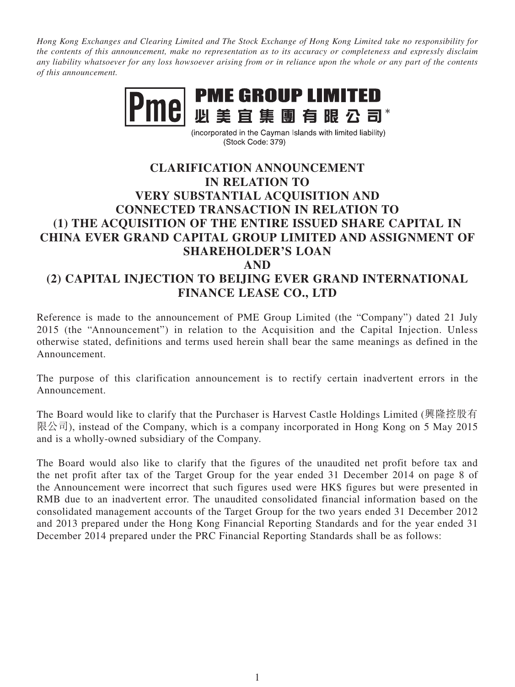*Hong Kong Exchanges and Clearing Limited and The Stock Exchange of Hong Kong Limited take no responsibility for the contents of this announcement, make no representation as to its accuracy or completeness and expressly disclaim any liability whatsoever for any loss howsoever arising from or in reliance upon the whole or any part of the contents of this announcement.*



(incorporated in the Cayman Islands with limited liability) (Stock Code: 379)

## **CLARIFICATION ANNOUNCEMENT IN RELATION TO VERY SUBSTANTIAL ACQUISITION AND CONNECTED TRANSACTION IN RELATION TO (1) THE ACQUISITION OF THE ENTIRE ISSUED SHARE CAPITAL IN CHINA EVER GRAND CAPITAL GROUP LIMITED AND ASSIGNMENT OF SHAREHOLDER'S LOAN AND (2) CAPITAL INJECTION TO BEIJING EVER GRAND INTERNATIONAL**

## **FINANCE LEASE CO., LTD**

Reference is made to the announcement of PME Group Limited (the "Company") dated 21 July 2015 (the "Announcement") in relation to the Acquisition and the Capital Injection. Unless otherwise stated, definitions and terms used herein shall bear the same meanings as defined in the Announcement.

The purpose of this clarification announcement is to rectify certain inadvertent errors in the Announcement.

The Board would like to clarify that the Purchaser is Harvest Castle Holdings Limited (興隆控股有 限公司), instead of the Company, which is a company incorporated in Hong Kong on 5 May 2015 and is a wholly-owned subsidiary of the Company.

The Board would also like to clarify that the figures of the unaudited net profit before tax and the net profit after tax of the Target Group for the year ended 31 December 2014 on page 8 of the Announcement were incorrect that such figures used were HK\$ figures but were presented in RMB due to an inadvertent error. The unaudited consolidated financial information based on the consolidated management accounts of the Target Group for the two years ended 31 December 2012 and 2013 prepared under the Hong Kong Financial Reporting Standards and for the year ended 31 December 2014 prepared under the PRC Financial Reporting Standards shall be as follows: